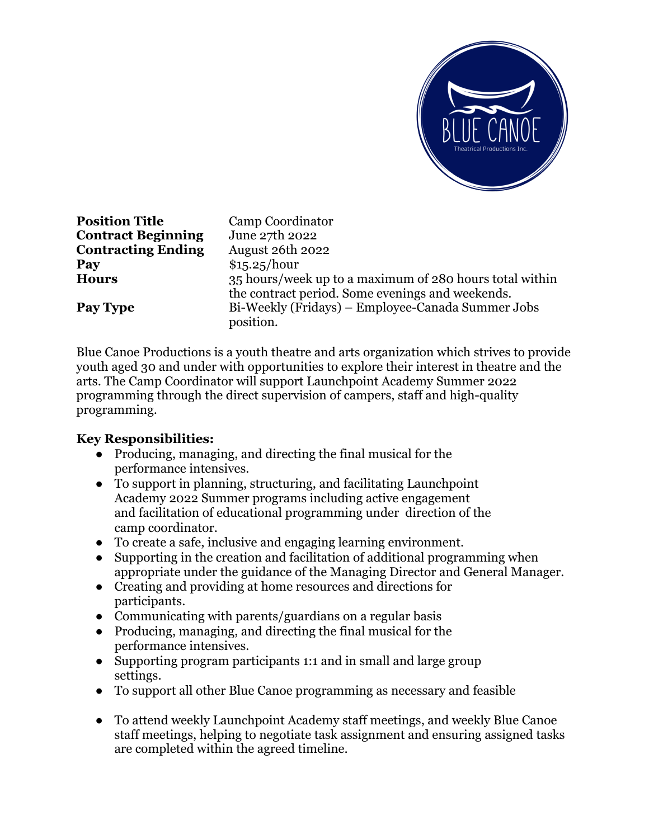

**Position Title** Camp Coordinator **Contract Beginning** June 27th 2022 **Contracting Ending** August 26th 2022 **Pay** \$15.25/hour **Hours** 35 hours/week up to a maximum of 280 hours total within the contract period. Some evenings and weekends. **Pay Type** Bi-Weekly (Fridays) – Employee-Canada Summer Jobs position.

Blue Canoe Productions is a youth theatre and arts organization which strives to provide youth aged 30 and under with opportunities to explore their interest in theatre and the arts. The Camp Coordinator will support Launchpoint Academy Summer 2022 programming through the direct supervision of campers, staff and high-quality programming.

## **Key Responsibilities:**

- Producing, managing, and directing the final musical for the performance intensives.
- To support in planning, structuring, and facilitating Launchpoint Academy 2022 Summer programs including active engagement and facilitation of educational programming under direction of the camp coordinator.
- To create a safe, inclusive and engaging learning environment.
- Supporting in the creation and facilitation of additional programming when appropriate under the guidance of the Managing Director and General Manager.
- Creating and providing at home resources and directions for participants.
- Communicating with parents/guardians on a regular basis
- Producing, managing, and directing the final musical for the performance intensives.
- Supporting program participants 1:1 and in small and large group settings.
- To support all other Blue Canoe programming as necessary and feasible
- To attend weekly Launchpoint Academy staff meetings, and weekly Blue Canoe staff meetings, helping to negotiate task assignment and ensuring assigned tasks are completed within the agreed timeline.